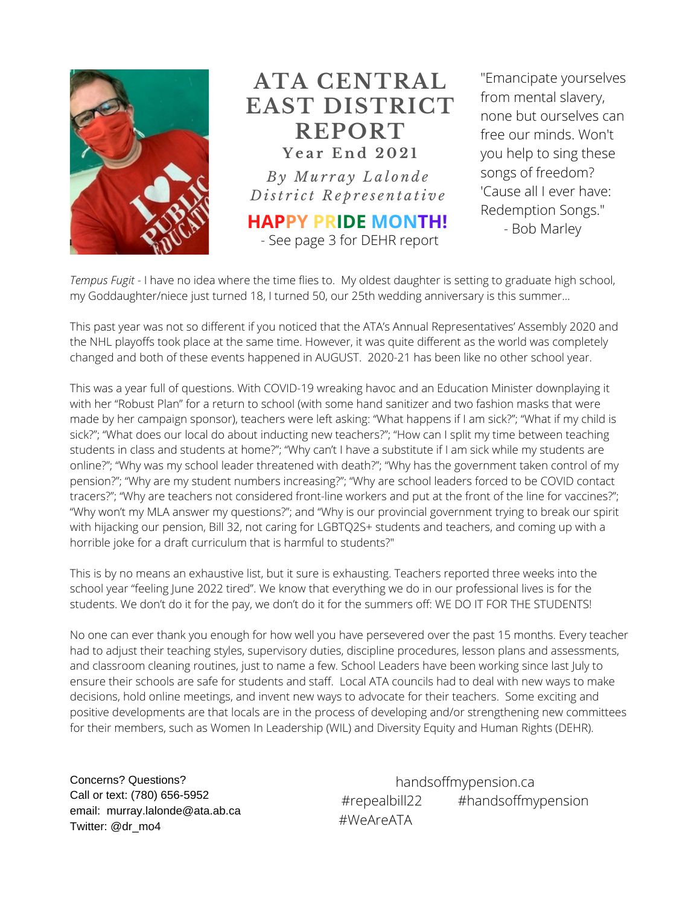

## **ATA CENTRAL EAST DISTRICT REPORT Y e a r E n d 2 0 2 1**

*B y Mu r r a y L a l o n d e D ist r i c t R e p r e s e n t a ti v e*

**HAPPY PRIDE MONTH!** - See page 3 for DEHR report

"Emancipate yourselves from mental slavery, none but ourselves can free our minds. Won't you help to sing these songs of freedom? 'Cause all I ever have: Redemption Songs." - Bob Marley

*Tempus Fugit* - I have no idea where the time flies to. My oldest daughter is setting to graduate high school, my Goddaughter/niece just turned 18, I turned 50, our 25th wedding anniversary is this summer...

This past year was not so different if you noticed that the ATA's Annual Representatives' Assembly 2020 and the NHL playoffs took place at the same time. However, it was quite different as the world was completely changed and both of these events happened in AUGUST. 2020-21 has been like no other school year.

This was a year full of questions. With COVID-19 wreaking havoc and an Education Minister downplaying it with her "Robust Plan" for a return to school (with some hand sanitizer and two fashion masks that were made by her campaign sponsor), teachers were left asking: "What happens if I am sick?"; "What if my child is sick?"; "What does our local do about inducting new teachers?"; "How can I split my time between teaching students in class and students at home?"; "Why can't I have a substitute if I am sick while my students are online?"; "Why was my school leader threatened with death?"; "Why has the government taken control of my pension?"; "Why are my student numbers increasing?"; "Why are school leaders forced to be COVID contact tracers?"; "Why are teachers not considered front-line workers and put at the front of the line for vaccines?"; "Why won't my MLA answer my questions?"; and "Why is our provincial government trying to break our spirit with hijacking our pension, Bill 32, not caring for LGBTQ2S+ students and teachers, and coming up with a horrible joke for a draft curriculum that is harmful to students?"

This is by no means an exhaustive list, but it sure is exhausting. Teachers reported three weeks into the school year "feeling June 2022 tired". We know that everything we do in our professional lives is for the students. We don't do it for the pay, we don't do it for the summers off: WE DO IT FOR THE STUDENTS!

No one can ever thank you enough for how well you have persevered over the past 15 months. Every teacher had to adjust their teaching styles, supervisory duties, discipline procedures, lesson plans and assessments, and classroom cleaning routines, just to name a few. School Leaders have been working since last July to ensure their schools are safe for students and staff. Local ATA councils had to deal with new ways to make decisions, hold online meetings, and invent new ways to advocate for their teachers. Some exciting and positive developments are that locals are in the process of developing and/or strengthening new committees for their members, such as Women In Leadership (WIL) and Diversity Equity and Human Rights (DEHR).

Concerns? Questions? Call or text: (780) 656-5952 email: murray.lalonde@ata.ab.ca Twitter: @dr\_mo4

handsoffmypension.ca #repealbill22 #handsoffmypension #WeAreATA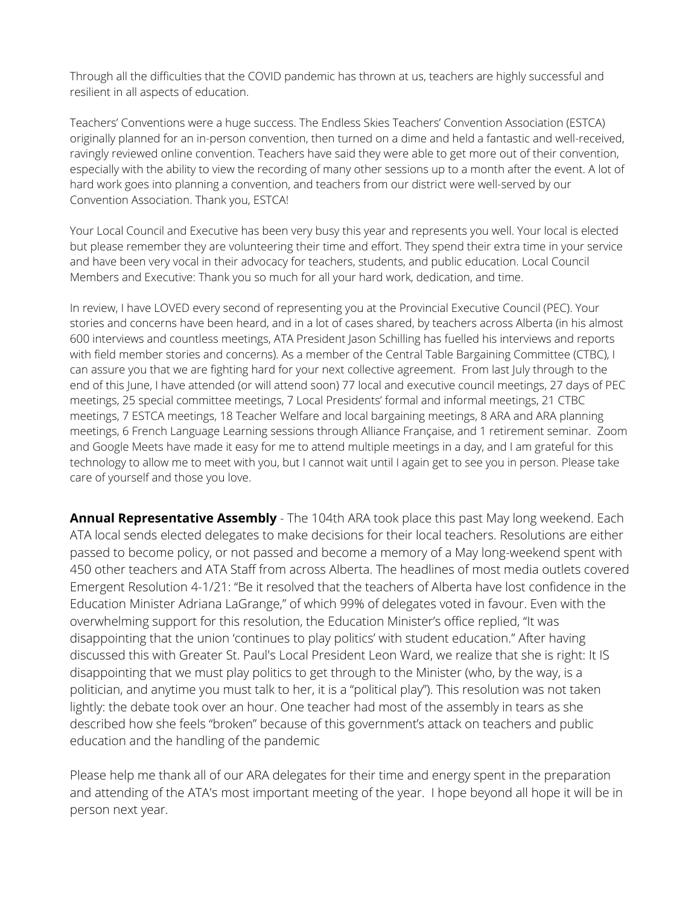Through all the difficulties that the COVID pandemic has thrown at us, teachers are highly successful and resilient in all aspects of education.

Teachers' Conventions were a huge success. The Endless Skies Teachers' Convention Association (ESTCA) originally planned for an in-person convention, then turned on a dime and held a fantastic and well-received, ravingly reviewed online convention. Teachers have said they were able to get more out of their convention, especially with the ability to view the recording of many other sessions up to a month after the event. A lot of hard work goes into planning a convention, and teachers from our district were well-served by our Convention Association. Thank you, ESTCA!

Your Local Council and Executive has been very busy this year and represents you well. Your local is elected but please remember they are volunteering their time and effort. They spend their extra time in your service and have been very vocal in their advocacy for teachers, students, and public education. Local Council Members and Executive: Thank you so much for all your hard work, dedication, and time.

In review, I have LOVED every second of representing you at the Provincial Executive Council (PEC). Your stories and concerns have been heard, and in a lot of cases shared, by teachers across Alberta (in his almost 600 interviews and countless meetings, ATA President Jason Schilling has fuelled his interviews and reports with field member stories and concerns). As a member of the Central Table Bargaining Committee (CTBC), I can assure you that we are fighting hard for your next collective agreement. From last July through to the end of this June, I have attended (or will attend soon) 77 local and executive council meetings, 27 days of PEC meetings, 25 special committee meetings, 7 Local Presidents' formal and informal meetings, 21 CTBC meetings, 7 ESTCA meetings, 18 Teacher Welfare and local bargaining meetings, 8 ARA and ARA planning meetings, 6 French Language Learning sessions through Alliance Française, and 1 retirement seminar. Zoom and Google Meets have made it easy for me to attend multiple meetings in a day, and I am grateful for this technology to allow me to meet with you, but I cannot wait until I again get to see you in person. Please take care of yourself and those you love.

**Annual Representative Assembly** - The 104th ARA took place this past May long weekend. Each ATA local sends elected delegates to make decisions for their local teachers. Resolutions are either passed to become policy, or not passed and become a memory of a May long-weekend spent with 450 other teachers and ATA Staff from across Alberta. The headlines of most media outlets covered Emergent Resolution 4-1/21: "Be it resolved that the teachers of Alberta have lost confidence in the Education Minister Adriana LaGrange," of which 99% of delegates voted in favour. Even with the overwhelming support for this resolution, the Education Minister's office replied, "It was disappointing that the union 'continues to play politics' with student education." After having discussed this with Greater St. Paul's Local President Leon Ward, we realize that she is right: It IS disappointing that we must play politics to get through to the Minister (who, by the way, is a politician, and anytime you must talk to her, it is a "political play"). This resolution was not taken lightly: the debate took over an hour. One teacher had most of the assembly in tears as she described how she feels "broken" because of this government's attack on teachers and public education and the handling of the pandemic

Please help me thank all of our ARA delegates for their time and energy spent in the preparation and attending of the ATA's most important meeting of the year. I hope beyond all hope it will be in person next year.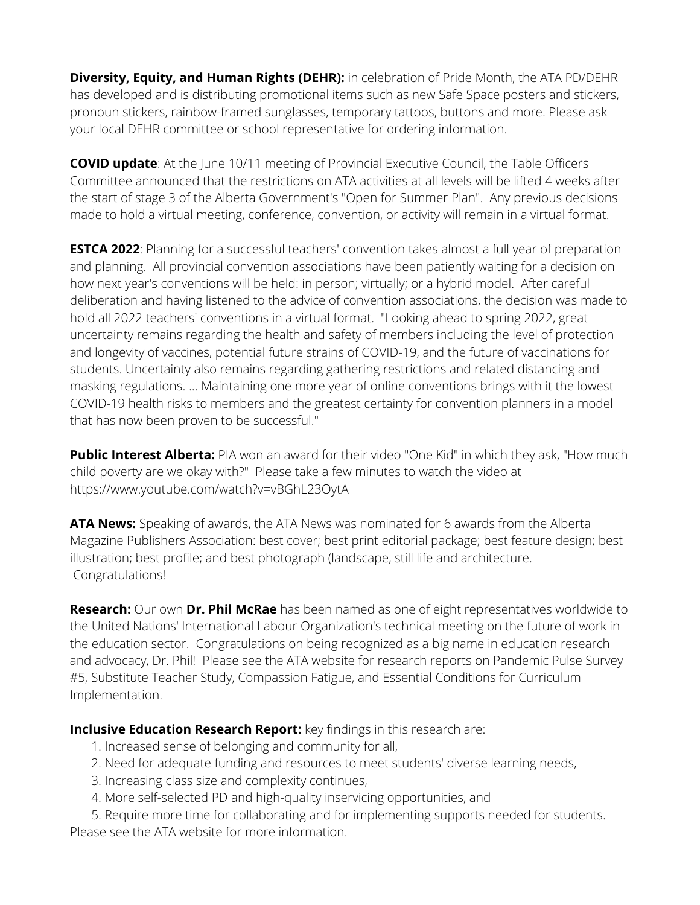**Diversity, Equity, and Human Rights (DEHR):** in celebration of Pride Month, the ATA PD/DEHR has developed and is distributing promotional items such as new Safe Space posters and stickers, pronoun stickers, rainbow-framed sunglasses, temporary tattoos, buttons and more. Please ask your local DEHR committee or school representative for ordering information.

**COVID update**: At the June 10/11 meeting of Provincial Executive Council, the Table Officers Committee announced that the restrictions on ATA activities at all levels will be lifted 4 weeks after the start of stage 3 of the Alberta Government's "Open for Summer Plan". Any previous decisions made to hold a virtual meeting, conference, convention, or activity will remain in a virtual format.

**ESTCA 2022**: Planning for a successful teachers' convention takes almost a full year of preparation and planning. All provincial convention associations have been patiently waiting for a decision on how next year's conventions will be held: in person; virtually; or a hybrid model. After careful deliberation and having listened to the advice of convention associations, the decision was made to hold all 2022 teachers' conventions in a virtual format. "Looking ahead to spring 2022, great uncertainty remains regarding the health and safety of members including the level of protection and longevity of vaccines, potential future strains of COVID-19, and the future of vaccinations for students. Uncertainty also remains regarding gathering restrictions and related distancing and masking regulations. ... Maintaining one more year of online conventions brings with it the lowest COVID-19 health risks to members and the greatest certainty for convention planners in a model that has now been proven to be successful."

**Public Interest Alberta:** PIA won an award for their video "One Kid" in which they ask, "How much child poverty are we okay with?" Please take a few minutes to watch the video at https://www.youtube.com/watch?v=vBGhL23OytA

**ATA News:** Speaking of awards, the ATA News was nominated for 6 awards from the Alberta Magazine Publishers Association: best cover; best print editorial package; best feature design; best illustration; best profile; and best photograph (landscape, still life and architecture. Congratulations!

**Research:** Our own **Dr. Phil McRae** has been named as one of eight representatives worldwide to the United Nations' International Labour Organization's technical meeting on the future of work in the education sector. Congratulations on being recognized as a big name in education research and advocacy, Dr. Phil! Please see the ATA website for research reports on Pandemic Pulse Survey #5, Substitute Teacher Study, Compassion Fatigue, and Essential Conditions for Curriculum Implementation.

**Inclusive Education Research Report:** key findings in this research are:

- 1. Increased sense of belonging and community for all,
- 2. Need for adequate funding and resources to meet students' diverse learning needs,
- 3. Increasing class size and complexity continues,
- 4. More self-selected PD and high-quality inservicing opportunities, and

5. Require more time for collaborating and for implementing supports needed for students. Please see the ATA website for more information.